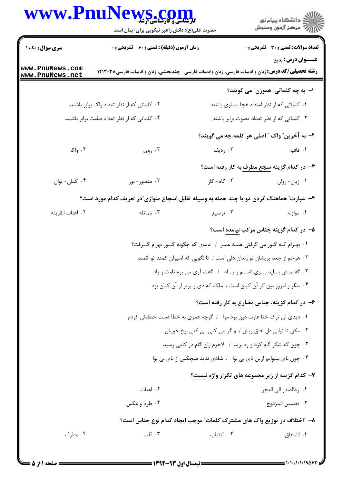## WWW.PnuNews.com



حضرت علی(ع): دانش راهبر نیکویی برای ایمان است

| سری سوال: یک ۱                                                                             |                                                                      | <b>زمان آزمون (دقیقه) : تستی : 60 ٪ تشریحی : 0</b> |                                                                                                         |  | <b>تعداد سوالات : تستی : 30 ٪ تشریحی : 0</b>                |
|--------------------------------------------------------------------------------------------|----------------------------------------------------------------------|----------------------------------------------------|---------------------------------------------------------------------------------------------------------|--|-------------------------------------------------------------|
| www.PnuNews.com<br>www.PnuNews.net                                                         |                                                                      |                                                    | <b>رشته تحصیلی/کد درس:</b> زبان و ادبیات فارسی، زبان وادبیات فارسی –چندبخشی، زبان و ادبیات فارسی۱۲۱۳۰۳۸ |  | عنــوان درس: بدیع                                           |
|                                                                                            |                                                                      |                                                    |                                                                                                         |  | ا– به چه کلماتی″ هموزن″ می گویند؟                           |
|                                                                                            | ۰۲ کلماتی که از نظر تعداد واک برابر باشند.                           |                                                    |                                                                                                         |  | ۰۱ کلماتی که از نظر امتداد هجا مساوی باشند.                 |
|                                                                                            | ۰۴ کلماتی که از نظر تعداد صامت برابر باشند.                          |                                                    |                                                                                                         |  | ۰۳ کلماتی که از نظر تعداد مصوت برابر باشند.                 |
|                                                                                            |                                                                      |                                                    | ۲- به آخرین ؒ واک ؒ اصلی هر کلمه چه می گویند؟                                                           |  |                                                             |
| ۰۴ واکه                                                                                    |                                                                      | ۰۳ روی $\cdot$                                     | ۰۲ رديف                                                                                                 |  | ۰۱ قافیه                                                    |
|                                                                                            |                                                                      |                                                    |                                                                                                         |  | <b>۳</b> - در کدام گزینه <u>سجع مطرف</u> به کار رفته است؟   |
| ۰۴ گمان- توان                                                                              |                                                                      | ۰۳ منصور- نور                                      | ۲. کام- کار                                                                                             |  | ٠١. زبان- روان                                              |
| ۴- عبارت ً هماهنگ کردن دو یا چند جمله به وسیله تقابل اسجاع متوازی ّدر تعریف کدام مورد است؟ |                                                                      |                                                    |                                                                                                         |  |                                                             |
| ۰۴ اعنات القرينه                                                                           |                                                                      | ۰۳ مماثله                                          | ۰۲ ترصيع                                                                                                |  | ۰۱ موازنه                                                   |
|                                                                                            |                                                                      |                                                    |                                                                                                         |  | <mark>۵</mark> − در کدام گزینه جناس مرکب <u>نیامده</u> است؟ |
|                                                                                            |                                                                      |                                                    | ۰۱ بهـرام كـه گـور مى گرفتى همـه عمـر ۱ ديدى كه چگونه گــور بهرام گــرفت؟                               |  |                                                             |
|                                                                                            |                                                                      |                                                    | ۰۲ هرخم از جعد پریشان تو زندان دلی است / تا نگویی که اسیران کمند تو کمند                                |  |                                                             |
|                                                                                            | ۰۳ گفتمـش بــايد بـــرى نامـــم ز يـــاد ا گفت آرى مى برم نامت ز ياد |                                                    |                                                                                                         |  |                                                             |
|                                                                                            |                                                                      |                                                    | ۰۴ بنگر و امروز بین کز آن کیان است / ملک که دی و پریر از آن کیان بود                                    |  |                                                             |
|                                                                                            |                                                                      |                                                    | ۶– در کدام گزینه، جناس مضارع به کار رفته است؟                                                           |  |                                                             |
|                                                                                            |                                                                      |                                                    | ۰۱ دیدی آن ترک ختا غارت دین بود مرا ۱ گرچه عمری به خطا دست خطابش کردم                                   |  |                                                             |
| ٠٢ مكن تا تواني دل خلق ريش / و گر مي كني مي كني بيخ خويش                                   |                                                                      |                                                    |                                                                                                         |  |                                                             |
|                                                                                            |                                                                      |                                                    | ۰۳ چون که شکر گام کرد و ره برید / لاجرم زان گام در کامی رسید                                            |  |                                                             |
|                                                                                            |                                                                      |                                                    | ۰۴ چون نای بینوایم ازین نای بی نوا / شادی ندید هیچکس از نای بی نوا                                      |  |                                                             |
|                                                                                            |                                                                      |                                                    | ۷- کدام گزینه از زیر مجموعه های تکرار واژه نیست؟                                                        |  |                                                             |
|                                                                                            |                                                                      | ۰۲ اعنات                                           |                                                                                                         |  | ۰۱ ردالصدر الی العجز                                        |
|                                                                                            |                                                                      | ۰۴ طرد و عکس                                       |                                                                                                         |  | ۰۳ تضمين المزدوج                                            |
|                                                                                            |                                                                      |                                                    | ۸– ″اختلاف در توزیع واک های مشترک کلمات″ موجب ایجاد کدام نوع جناس است؟                                  |  |                                                             |
| ۰۴ مطرف                                                                                    |                                                                      | ۰۳ قلب                                             | ۰۲ اقتضاب                                                                                               |  | ۰۱ اشتقاق                                                   |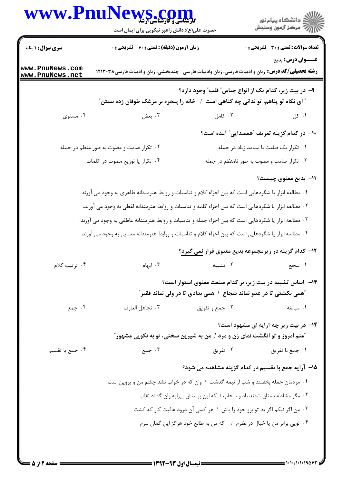|                                    | WWW.PnuNews.com<br>حضرت علی(ع): دانش راهبر نیکویی برای ایمان است                                        |                                                                         | ڪ دانشڪاه پيام نور<br>/> مرڪز آزمون وسنڊش                           |
|------------------------------------|---------------------------------------------------------------------------------------------------------|-------------------------------------------------------------------------|---------------------------------------------------------------------|
| <b>سری سوال : ۱ یک</b>             | زمان آزمون (دقیقه) : تستی : 60 ٪ تشریحی : 0                                                             |                                                                         | <b>تعداد سوالات : تستی : 30 ٪ تشریحی : 0</b>                        |
| www.PnuNews.com<br>www.PnuNews.net | <b>رشته تحصیلی/کد درس:</b> زبان و ادبیات فارسی، زبان وادبیات فارسی -چندبخشی، زبان و ادبیات فارسی۱۲۱۳۰۳۸ |                                                                         | عنــوان درس: بدیع                                                   |
|                                    | <b>" ای نگاه تو پناهم، تو ندانی چه گناهی است ۱ خانه را پنجره بر مرغک طوفان زده بستن</b> "               |                                                                         | ۹– در بیت زیر، کدام یک از انواع جناس ؒ قلب ؒ وجود دارد؟             |
| ۰۴ مستوی                           | ۰۳ بعض                                                                                                  | ۰۲ کامل                                                                 | ۰۱ کل                                                               |
|                                    |                                                                                                         |                                                                         | +ا– در کدام گزینه تعریف <sup>"</sup> همصدایی <sup>"</sup> آمده است؟ |
|                                    | ۰۲ تکرار صامت و مصوت به طور منظم در جمله                                                                |                                                                         | ۰۱ تکرار یک صامت با بسامد زیاد در جمله                              |
|                                    | ۰۴ تکرار یا توزیع مصوت در کلمات                                                                         |                                                                         | ۰۳ تکرار صامت و مصوت به طور نامنظم در جمله                          |
|                                    |                                                                                                         |                                                                         | 11- بدیع معنوی چیست؟                                                |
|                                    | ۰۱ مطالعه ابزار یا شگردهایی است که بین اجزاء کلام و تناسبات و روابط هنرمندانه ظاهری به وجود می آورند.   |                                                                         |                                                                     |
|                                    | ۰۲ مطالعه ابزار یا شگردهایی است که بین اجزاء کلمه و تناسبات و روابط هنرمندانه لفظی به وجود می آورند.    |                                                                         |                                                                     |
|                                    | ۰۳ مطالعه ابزار یا شگردهایی است که بین اجزاء جمله و تناسبات و روابط هنرمندانه عاطفی به وجود می آورند.   |                                                                         |                                                                     |
|                                    | ۰۴ مطالعه ابزار یا شگردهایی است که بین اجزاء کلام و تناسبات و روابط هنرمندانه معنایی به وجود می آورند.  |                                                                         |                                                                     |
|                                    |                                                                                                         |                                                                         | ۱۲- کدام گزینه در زیرمجموعه بدیع معنوی قرار <u>نمی گیرد</u> ؟       |
| ۰۴ تر تیب کلام                     | ۰۳ ایهام                                                                                                | ۰۲ تشبیه                                                                | ۰۱ سجع                                                              |
|                                    | <b>"همی بکشتی تا در عدو نماند شجاع ِ / همی بدادی تا در ولی نماند فقیر ً</b>                             |                                                                         | <b>۱۳</b> - اساس تشبیه در بیت زیر، بر کدام صنعت معنوی استوار است؟   |
| ۰۴ جمع                             | ٠٣ تجاهل العارف                                                                                         | ۰۲ جمع و تفریق                                                          | ۰۱ مبالغه                                                           |
|                                    | <b>"منم امروز و تو انگشت نمای زن و مرد / من به شیرین سخنی، تو به نکویی مشهور</b> "                      |                                                                         | <b>۱۴</b> - در بیت زیر چه آرایه ای مشهود است؟                       |
| ۰۴ جمع با تقسیم                    | ۰۳ جمع                                                                                                  | ۰۲ تفریق                                                                | ٠١ جمع با تفريق                                                     |
|                                    |                                                                                                         |                                                                         | ۱۵- آرایه <u>جمع با تقسیم</u> در کدام گزینه مشاهده می شود؟          |
|                                    | ۰۱ مردمان جمله بخفتند و شب از نیمه گذشت ۱ وان که در خواب نشد چشم من و پروین است                         |                                                                         |                                                                     |
|                                    | ٠٢ مگر مشاطه بستان شدند باد و سحاب / كه اين ببستش پيرايه وان گشاد نقاب                                  |                                                                         |                                                                     |
|                                    | ۰۳ من اگر نیکم اگر بد تو برو خود را باش / هر کسی آن درود عاقبت کار که کشت                               |                                                                         |                                                                     |
|                                    |                                                                                                         | ۰۴ تویی برابر من یا خیال در نظرم ۱ که من به طالع خود هرگز این گمان نبرم |                                                                     |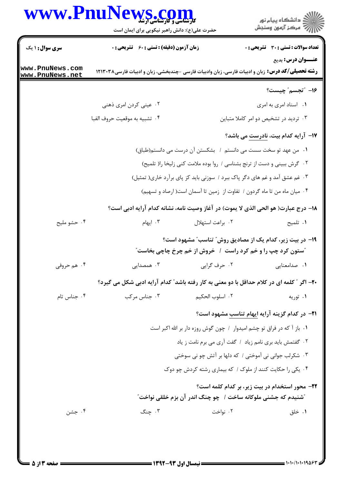## www.PnuNews.com کا ای ایران کا ایران ایران ایران ایران ایران ایران ایران ایران ایران ایران ایران ایران ایران ایران ایران ایران<br>ایران ایران ایران ایران ایران ایران ایران ایران ایران ایران ایران ایران ایران ایران ایران ایران ایران ایران ا

|                                    | خصرت علی (ع). دانس راهبر نیکویی برای ایشان است                                                          |                  |                                                                            |  |  |  |
|------------------------------------|---------------------------------------------------------------------------------------------------------|------------------|----------------------------------------------------------------------------|--|--|--|
| <b>سری سوال :</b> ۱ یک             | <b>زمان آزمون (دقیقه) : تستی : 60 ٪ تشریحی : 0</b>                                                      |                  | <b>تعداد سوالات : تستی : 30 ٪ تشریحی : 0</b>                               |  |  |  |
|                                    |                                                                                                         |                  | <b>عنـــوان درس:</b> بدیع                                                  |  |  |  |
| www.PnuNews.com<br>www.PnuNews.net | <b>رشته تحصیلی/کد درس:</b> زبان و ادبیات فارسی، زبان وادبیات فارسی -چندبخشی، زبان و ادبیات فارسی۱۲۱۳۰۳۸ |                  |                                                                            |  |  |  |
|                                    |                                                                                                         |                  | ١٦- "تجسم" چيست؟                                                           |  |  |  |
|                                    | ۰۲ عینی کردن امری ذهنی                                                                                  |                  | ٠١. اسناد امري به امري                                                     |  |  |  |
|                                    | ۰۴ تشبيه به موقعيت حروف الفبا                                                                           |                  | ۰۳ تردید در تشخیص دو امر کاملا متباین                                      |  |  |  |
|                                    |                                                                                                         |                  | ۱۷– آرایه کدام بیت، <u>نادرست</u> می باشد؟                                 |  |  |  |
|                                    | ١. من عهد تو سخت سست مى دانستم / بشكستن آن درست مى دانستم(طباق)                                         |                  |                                                                            |  |  |  |
|                                    | ٠٢ گرش ببيني و دست از ترنج بشناسي / روا بوده ملامت كني زليخا را( تلميح)                                 |                  |                                                                            |  |  |  |
|                                    |                                                                                                         |                  | ۰۳ غم عشق آمد و غم های دگر پاک ببرد / سوزنی باید کز پای برآرد خاری( تمثیل) |  |  |  |
|                                    |                                                                                                         |                  | ۰۴ میان ماه من تا ماه گردون / تفاوت از زمین تا آسمان است( ارصاد و تسهیم)   |  |  |  |
|                                    | ۱۸- درج عبارت( هو الحي الذي لا يموت) در آغاز وصيت نامه، نشانه كدام آرايه ادبي است؟                      |                  |                                                                            |  |  |  |
| ۰۴ حشو مليح                        | ۰۳ ایهام                                                                                                | ٠٢ براعت استهلال | ٠١ تلميح                                                                   |  |  |  |
|                                    |                                                                                                         |                  | ۱۹- در بیت زیر، کدام یک از مصادیق روش ؒ تناسب ؒ مشهود است؟                 |  |  |  |
|                                    |                                                                                                         |                  | <b>"ستون کرد چپ را و خم کرد راست ۱ خروش از خم چرخ چاچی بخاست</b> "         |  |  |  |
| ۰۴ هم حروفی                        | ۰۳ همصدایی                                                                                              | ۰۲ حرف گرايي     | ٠١ صدامعنايي                                                               |  |  |  |
|                                    | ۲۰- اگر ″ کلمه ای در کلام حداقل با دو معنی به کار رفته باشد″ کدام آرایه ادبی شکل می گیرد؟               |                  |                                                                            |  |  |  |
| ۰۴ جناس تام                        | ۰۳ جناس مرکب                                                                                            | ٢. اسلوب الحكيم  | ۰۱ توریه                                                                   |  |  |  |
|                                    |                                                                                                         |                  | <b>۲۱</b> - در کدام گزینه آرایه ایهام تناسب مشهود است؟                     |  |  |  |
|                                    |                                                                                                         |                  | ٠١. باز آ كه در فراق تو چشم اميدوار ١ چون گوش روزه دار بر الله اكبر است    |  |  |  |
|                                    | ۰۲ گفتمش باید بری نامم زیاد ۱ گفت آری می برم نامت ز یاد                                                 |                  |                                                                            |  |  |  |
|                                    | ۰۳ شکرلب جوانی نی آموختی / که دلها بر آتش چو نی سوختی                                                   |                  |                                                                            |  |  |  |
|                                    |                                                                                                         |                  | ۰۴ یکی را حکایت کنند از ملوک / که بیماری رشته کردش چو دوک                  |  |  |  |
|                                    |                                                                                                         |                  | <b>۲۲</b> - محور استخدام در بیت زیر، بر کدام کلمه است؟                     |  |  |  |
|                                    |                                                                                                         |                  | <b>"شنیدم که جشنی ملوکانه ساخت /  چو چنگ اندر آن بزم خلقی نواخت</b> "      |  |  |  |
| ۰۴ جشن                             | ۰۳ چنگ                                                                                                  | ۰۲ نواخت         | ۰۱ خلق                                                                     |  |  |  |
|                                    |                                                                                                         |                  |                                                                            |  |  |  |
|                                    |                                                                                                         |                  |                                                                            |  |  |  |

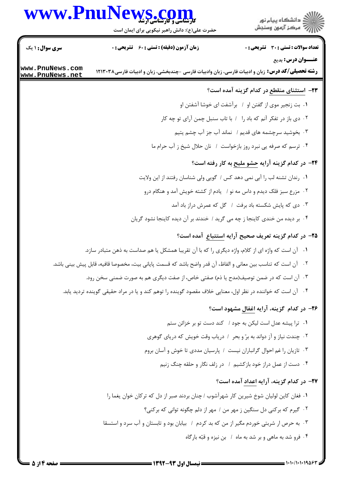## WWW.PnuNews.com



حضرت علی(ع): دانش راهبر نیکویی برای ایمان است

| <b>سری سوال : ۱ یک</b>             | <b>زمان آزمون (دقیقه) : تستی : 60 ٪ تشریحی : 0</b>                                                               |                                                                        | <b>تعداد سوالات : تستی : 30 ٪ تشریحی : 0</b> |
|------------------------------------|------------------------------------------------------------------------------------------------------------------|------------------------------------------------------------------------|----------------------------------------------|
|                                    |                                                                                                                  |                                                                        | <b>عنـــوان درس:</b> بدیع                    |
| www.PnuNews.com<br>www.PnuNews.net | <b>رشته تحصیلی/کد درس:</b> زبان و ادبیات فارسی، زبان وادبیات فارسی -چندبخشی، زبان و ادبیات فارسی۱۲۱۳۰۳۸          |                                                                        |                                              |
|                                    |                                                                                                                  | <b>۲۳</b> - ا <u>ستثنای منقطع</u> در کدام گزینه آمده است؟              |                                              |
|                                    |                                                                                                                  | ۰۱ بت زنجیر موی از گفتن او ۱ برآشفت ای خوشا آشفتن او                   |                                              |
|                                    |                                                                                                                  | ۰۲ دی باز در تفکر آنم که باد را ۱ با تاب سنبل چمن آرای تو چه کار       |                                              |
|                                    |                                                                                                                  | ۰۳ بخوشید سرچشمه های قدیم / نماند آب جز آب چشم یتیم                    |                                              |
|                                    |                                                                                                                  | ۰۴ ترسم که صرفه یی نبرد روز بازخواست / نان حلال شیخ ز آب حرام ما       |                                              |
|                                    |                                                                                                                  | <b>۲۴</b> - در کدام گزینه آرایه حشو ملیح به کار رفته است؟              |                                              |
|                                    | ١. رندان تشنه لب را آبي نمي دهد كس / گويي ولي شناسان رفتند از اين ولايت                                          |                                                                        |                                              |
|                                    |                                                                                                                  | ۰۲ مزرع سبز فلک دیدم و داس مه نو / یادم از کشته خویش آمد و هنگام درو   |                                              |
|                                    |                                                                                                                  | ۰۳ دی که پایش شکسته باد برفت ۱ گل که عمرش دراز باد آمد                 |                                              |
|                                    | ۰۴ بر دیده من خندی کاینجا ز چه می گرید / خندند بر آن دیده کاینجا نشود گریان                                      |                                                                        |                                              |
|                                    |                                                                                                                  | <b>۳۵</b> - در کدام گزینه تعریف صحیح آرایه <u>استتباع</u> آمده است؟    |                                              |
|                                    | ۰۱ آن است که واژه ای از کلام، واژه دیگری را که با آن تقریبا همشکل یا هم صداست به ذهن متبادر سازد.                |                                                                        |                                              |
|                                    | ۰۲     آن است که تناسب بین معانی و الفاظ، آن قدر واضح باشد که قسمت پایانی بیت، مخصوصا قافیه، قابل پیش بینی باشد. |                                                                        |                                              |
|                                    | ۰۳ آن است که در ضمن توصیف(مدح یا ذم) صفتی خاص، از صفت دیگری هم به صورت ضمنی سخن رود.                             |                                                                        |                                              |
|                                    | ۰۴ آن است که خواننده در نظر اول، معنایی خلاف مقصود گوینده را توهم کند و یا در مراد حقیقی گوینده تردید یابد.      |                                                                        |                                              |
|                                    |                                                                                                                  | ۲۶- در کدام گزینه، آرایه اغفال مشهود است؟                              |                                              |
|                                    |                                                                                                                  | ۰۱ ترا پیشه عدل است لیکن به جود / کند دست تو بر خزائن ستم              |                                              |
|                                    |                                                                                                                  | ٠٢ چندت نياز و آز دواند به برّ و بحر ١ درياب وقت خويش كه درياى گوهرى   |                                              |
|                                    |                                                                                                                  | ٠٣ تازيان را غم احوال گرانباران نيست ١ پارسيان مددي تا خوش و آسان بروم |                                              |
|                                    |                                                                                                                  | ۰۴ دست از عمل دراز خود بازکشیم ۱ در زلف نگار و حلقه چنگ زنیم           |                                              |
|                                    |                                                                                                                  | ٢٧- در كدام گزينه، آرايه اعداد آمده است؟                               |                                              |
|                                    | ١. فغان كاين لوليان شوخ شيرين كار شهرآشوب / چنان بردند صبر از دل كه تركان خوان يغما را                           |                                                                        |                                              |
|                                    |                                                                                                                  | ٠٢ گیرم که برکنی دل سنگین ز مهر من / مهر از دلم چگونه توانی که برکنی؟  |                                              |
|                                    | ۰۳ به حرص ار شربتی خوردم مگیر از من که بد کردم / بیابان بود و تابستان و آب سرد و استسقا                          |                                                                        |                                              |
|                                    |                                                                                                                  | ۰۴ فرو شد به ماهی و بر شد به ماه ۱ بن نیزه و قبّه بارگاه               |                                              |
|                                    |                                                                                                                  |                                                                        |                                              |